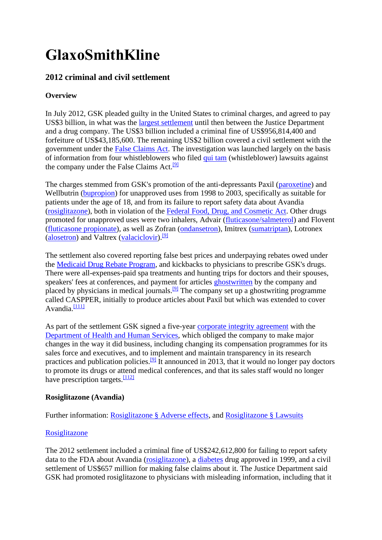# **GlaxoSmithKline**

# **2012 criminal and civil settlement**

### **Overview**

In July 2012, GSK pleaded guilty in the United States to criminal charges, and agreed to pay US\$3 billion, in what was the [largest settlement](https://en.wikipedia.org/wiki/List_of_Largest_Pharmaceutical_Settlements) until then between the Justice Department and a drug company. The US\$3 billion included a criminal fine of US\$956,814,400 and forfeiture of US\$43,185,600. The remaining US\$2 billion covered a civil settlement with the government under the [False Claims Act.](https://en.wikipedia.org/wiki/False_Claims_Act) The investigation was launched largely on the basis of information from four whistleblowers who filed [qui tam](https://en.wikipedia.org/wiki/Qui_tam) (whistleblower) lawsuits against the company under the False Claims Act.<sup>[\[9\]](https://en.wikipedia.org/wiki/GlaxoSmithKline#cite_note-USDOJJuly2012-10)</sup>

The charges stemmed from GSK's promotion of the anti-depressants Paxil [\(paroxetine\)](https://en.wikipedia.org/wiki/Paroxetine) and Wellbutrin [\(bupropion\)](https://en.wikipedia.org/wiki/Bupropion) for unapproved uses from 1998 to 2003, specifically as suitable for patients under the age of 18, and from its failure to report safety data about Avandia [\(rosiglitazone\)](https://en.wikipedia.org/wiki/Rosiglitazone), both in violation of the [Federal Food, Drug, and Cosmetic Act.](https://en.wikipedia.org/wiki/Federal_Food,_Drug,_and_Cosmetic_Act) Other drugs promoted for unapproved uses were two inhalers, Advair [\(fluticasone/salmeterol\)](https://en.wikipedia.org/wiki/Fluticasone/salmeterol) and Flovent [\(fluticasone propionate\)](https://en.wikipedia.org/wiki/Fluticasone_propionate), as well as Zofran [\(ondansetron\)](https://en.wikipedia.org/wiki/Ondansetron), Imitrex [\(sumatriptan\)](https://en.wikipedia.org/wiki/Sumatriptan), Lotronex [\(alosetron\)](https://en.wikipedia.org/wiki/Alosetron) and Valtrex [\(valaciclovir\)](https://en.wikipedia.org/wiki/Valaciclovir).<sup>[\[9\]](https://en.wikipedia.org/wiki/GlaxoSmithKline#cite_note-USDOJJuly2012-10)</sup>

The settlement also covered reporting false best prices and underpaying rebates owed under the [Medicaid Drug Rebate Program,](https://en.wikipedia.org/wiki/Medicaid_Drug_Rebate_Program) and kickbacks to physicians to prescribe GSK's drugs. There were all-expenses-paid spa treatments and hunting trips for doctors and their spouses, speakers' fees at conferences, and payment for articles [ghostwritten](https://en.wikipedia.org/wiki/Medical_ghostwriter) by the company and placed by physicians in medical journals.<sup>[\[9\]](https://en.wikipedia.org/wiki/GlaxoSmithKline#cite_note-USDOJJuly2012-10)</sup> The company set up a ghostwriting programme called CASPPER, initially to produce articles about Paxil but which was extended to cover Avandia. $\frac{[111]}{[111]}$  $\frac{[111]}{[111]}$  $\frac{[111]}{[111]}$ 

As part of the settlement GSK signed a five-year [corporate integrity agreement](https://en.wikipedia.org/wiki/Corporate_integrity_agreement) with the [Department of Health and Human Services,](https://en.wikipedia.org/wiki/Department_of_Health_and_Human_Services) which obliged the company to make major changes in the way it did business, including changing its compensation programmes for its sales force and executives, and to implement and maintain transparency in its research practices and publication policies.<sup>[\[9\]](https://en.wikipedia.org/wiki/GlaxoSmithKline#cite_note-USDOJJuly2012-10)</sup> It announced in 2013, that it would no longer pay doctors to promote its drugs or attend medical conferences, and that its sales staff would no longer have prescription targets. $\frac{[112]}{[112]}$  $\frac{[112]}{[112]}$  $\frac{[112]}{[112]}$ 

#### **Rosiglitazone (Avandia)**

Further information: [Rosiglitazone §](https://en.wikipedia.org/wiki/Rosiglitazone#Adverse_effects) Adverse effects, and [Rosiglitazone §](https://en.wikipedia.org/wiki/Rosiglitazone#Lawsuits) Lawsuits

#### [Rosiglitazone](https://en.wikipedia.org/wiki/Rosiglitazone)

The 2012 settlement included a criminal fine of US\$242,612,800 for failing to report safety data to the FDA about Avandia [\(rosiglitazone\)](https://en.wikipedia.org/wiki/Rosiglitazone), a [diabetes](https://en.wikipedia.org/wiki/Diabetes_mellitus_type_2) drug approved in 1999, and a civil settlement of US\$657 million for making false claims about it. The Justice Department said GSK had promoted rosiglitazone to physicians with misleading information, including that it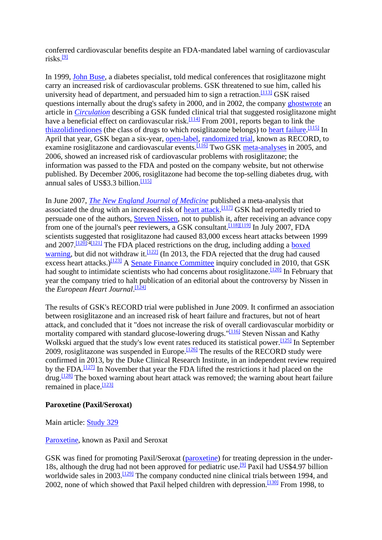conferred cardiovascular benefits despite an FDA-mandated label warning of cardiovascular risks. $[9]$ 

In 1999, [John Buse,](https://en.wikipedia.org/wiki/John_Buse) a diabetes specialist, told medical conferences that rosiglitazone might carry an increased risk of cardiovascular problems. GSK threatened to sue him, called his university head of department, and persuaded him to sign a retraction.<sup>[\[113\]](https://en.wikipedia.org/wiki/GlaxoSmithKline#cite_note-114)</sup> GSK raised questions internally about the drug's safety in 2000, and in 2002, the company [ghostwrote](https://en.wikipedia.org/wiki/Medical_ghostwriter) an article in *[Circulation](https://en.wikipedia.org/wiki/Circulation_(journal))* describing a GSK funded clinical trial that suggested rosiglitazone might have a beneficial effect on cardiovascular risk.<sup>[\[114\]](https://en.wikipedia.org/wiki/GlaxoSmithKline#cite_note-115)</sup> From 2001, reports began to link the [thiazolidinediones](https://en.wikipedia.org/wiki/Thiazolidinedione) (the class of drugs to which rosiglitazone belongs) to [heart failure.](https://en.wikipedia.org/wiki/Heart_failure)<sup>[\[115\]](https://en.wikipedia.org/wiki/GlaxoSmithKline#cite_note-pmid20154334-116)</sup> In April that year, GSK began a six-year, [open-label,](https://en.wikipedia.org/wiki/Open-label_trial) [randomized trial,](https://en.wikipedia.org/wiki/Randomized_controlled_trial) known as RECORD, to examine rosiglitazone and cardiovascular events.<sup>[\[116\]](https://en.wikipedia.org/wiki/GlaxoSmithKline#cite_note-RECORDLancet-117)</sup> Two GSK [meta-analyses](https://en.wikipedia.org/wiki/Meta-analysis) in 2005, and 2006, showed an increased risk of cardiovascular problems with rosiglitazone; the information was passed to the FDA and posted on the company website, but not otherwise published. By December 2006, rosiglitazone had become the top-selling diabetes drug, with annual sales of US\$3.3 billion. $\frac{[115]}{[115]}$  $\frac{[115]}{[115]}$  $\frac{[115]}{[115]}$ 

In June 2007, *[The New England Journal of Medicine](https://en.wikipedia.org/wiki/The_New_England_Journal_of_Medicine)* published a meta-analysis that associated the drug with an increased risk of [heart attack.](https://en.wikipedia.org/wiki/Myocardial_infarction)<sup>[\[117\]](https://en.wikipedia.org/wiki/GlaxoSmithKline#cite_note-118)</sup> GSK had reportedly tried to persuade one of the authors, [Steven Nissen,](https://en.wikipedia.org/wiki/Steven_Nissen) not to publish it, after receiving an advance copy from one of the journal's peer reviewers, a GSK consultant.<sup>[\[118\]](https://en.wikipedia.org/wiki/GlaxoSmithKline#cite_note-119)[\[119\]](https://en.wikipedia.org/wiki/GlaxoSmithKline#cite_note-120)</sup> In July 2007, FDA scientists suggested that rosiglitazone had caused 83,000 excess heart attacks between 1999 and  $2007$ .<sup>[\[120\]:](https://en.wikipedia.org/wiki/GlaxoSmithKline#cite_note-Senatereport-121)[4\[121\]](https://en.wikipedia.org/wiki/GlaxoSmithKline#cite_note-Graham-122)</sup> The FDA placed restrictions on the drug, including adding a boxed [warning,](https://en.wikipedia.org/wiki/Boxed_warning) but did not withdraw it.<sup>[\[122\]](https://en.wikipedia.org/wiki/GlaxoSmithKline#cite_note-123)</sup> (In 2013, the FDA rejected that the drug had caused excess heart attacks.)<sup>[\[123\]](https://en.wikipedia.org/wiki/GlaxoSmithKline#cite_note-FDAheart-124)</sup> A [Senate Finance Committee](https://en.wikipedia.org/wiki/United_States_Senate_Committee_on_Finance) inquiry concluded in 2010, that GSK had sought to intimidate scientists who had concerns about rosiglitazone.<sup>[\[120\]](https://en.wikipedia.org/wiki/GlaxoSmithKline#cite_note-Senatereport-121)</sup> In February that year the company tried to halt publication of an editorial about the controversy by Nissen in the *European Heart Journal*. [\[124\]](https://en.wikipedia.org/wiki/GlaxoSmithKline#cite_note-125)

The results of GSK's RECORD trial were published in June 2009. It confirmed an association between rosiglitazone and an increased risk of heart failure and fractures, but not of heart attack, and concluded that it "does not increase the risk of overall cardiovascular morbidity or mortality compared with standard glucose-lowering drugs."<sup>[\[116\]](https://en.wikipedia.org/wiki/GlaxoSmithKline#cite_note-RECORDLancet-117)</sup> Steven Nissan and Kathy Wolkski argued that the study's low event rates reduced its statistical power.<sup>[\[125\]](https://en.wikipedia.org/wiki/GlaxoSmithKline#cite_note-126)</sup> In September 2009, rosiglitazone was suspended in Europe.<sup>[\[126\]](https://en.wikipedia.org/wiki/GlaxoSmithKline#cite_note-127)</sup> The results of the RECORD study were confirmed in 2013, by the Duke Clinical Research Institute, in an independent review required by the FDA.<sup> $[127]$ </sup> In November that year the FDA lifted the restrictions it had placed on the  $\frac{128}{128}$  The boxed warning about heart attack was removed; the warning about heart failure remained in place. $\frac{[123]}{]}$  $\frac{[123]}{]}$  $\frac{[123]}{]}$ 

#### **Paroxetine (Paxil/Seroxat)**

Main article: [Study 329](https://en.wikipedia.org/wiki/Study_329)

#### [Paroxetine,](https://en.wikipedia.org/wiki/Paroxetine) known as Paxil and Seroxat

GSK was fined for promoting Paxil/Seroxat [\(paroxetine\)](https://en.wikipedia.org/wiki/Paroxetine) for treating depression in the under-18s, although the drug had not been approved for pediatric use.<sup>[\[9\]](https://en.wikipedia.org/wiki/GlaxoSmithKline#cite_note-USDOJJuly2012-10)</sup> Paxil had US\$4.97 billion worldwide sales in  $2003$ .<sup>[\[129\]](https://en.wikipedia.org/wiki/GlaxoSmithKline#cite_note-CMAJ2004-130)</sup> The company conducted nine clinical trials between 1994, and 2002, none of which showed that Paxil helped children with depression.<sup>[\[130\]](https://en.wikipedia.org/wiki/GlaxoSmithKline#cite_note-131)</sup> From 1998, to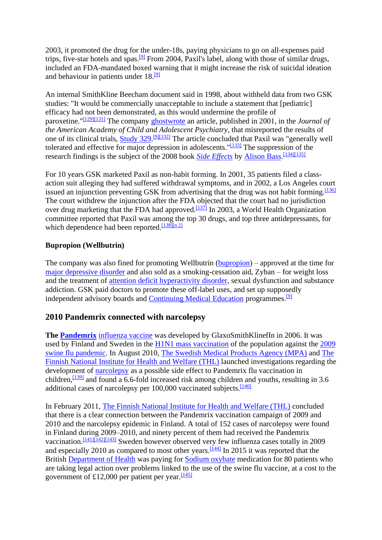2003, it promoted the drug for the under-18s, paying physicians to go on all-expenses paid trips, five-star hotels and spas.[\[9\]](https://en.wikipedia.org/wiki/GlaxoSmithKline#cite_note-USDOJJuly2012-10) From 2004, Paxil's label, along with those of similar drugs, included an FDA-mandated boxed warning that it might increase the risk of suicidal ideation and behaviour in patients under  $18.19$ 

An internal SmithKline Beecham document said in 1998, about withheld data from two GSK studies: "It would be commercially unacceptable to include a statement that [pediatric] efficacy had not been demonstrated, as this would undermine the profile of paroxetine."[\[129\]](https://en.wikipedia.org/wiki/GlaxoSmithKline#cite_note-CMAJ2004-130)[\[131\]](https://en.wikipedia.org/wiki/GlaxoSmithKline#cite_note-132) The company [ghostwrote](https://en.wikipedia.org/wiki/Medical_ghostwriter) an article, published in 2001, in the *Journal of the American Academy of Child and Adolescent Psychiatry*, that misreported the results of one of its clinical trials, **Study 329**.<sup>[\[9\]](https://en.wikipedia.org/wiki/GlaxoSmithKline#cite_note-USDOJJuly2012-10)[\[132\]](https://en.wikipedia.org/wiki/GlaxoSmithKline#cite_note-133)</sup> The article concluded that Paxil was "generally well tolerated and effective for major depression in adolescents."<sup>[\[133\]](https://en.wikipedia.org/wiki/GlaxoSmithKline#cite_note-134)</sup> The suppression of the research findings is the subject of the 2008 book *[Side Effects](https://en.wikipedia.org/wiki/Side_Effects_(Bass_book))* by [Alison Bass.](https://en.wikipedia.org/wiki/Alison_Bass)<sup>[\[134\]](https://en.wikipedia.org/wiki/GlaxoSmithKline#cite_note-135)[\[135\]](https://en.wikipedia.org/wiki/GlaxoSmithKline#cite_note-136)</sup>

For 10 years GSK marketed Paxil as non-habit forming. In 2001, 35 patients filed a classaction suit alleging they had suffered withdrawal symptoms, and in 2002, a Los Angeles court issued an injunction preventing GSK from advertising that the drug was not habit forming.  $[136]$ The court withdrew the injunction after the FDA objected that the court had no jurisdiction over drug marketing that the FDA had approved.<sup>[\[137\]](https://en.wikipedia.org/wiki/GlaxoSmithKline#cite_note-138)</sup> In 2003, a World Health Organization committee reported that Paxil was among the top 30 drugs, and top three antidepressants, for which dependence had been reported.<sup>[\[138\]](https://en.wikipedia.org/wiki/GlaxoSmithKline#cite_note-WHOdependence-139)[\[n 2\]](https://en.wikipedia.org/wiki/GlaxoSmithKline#cite_note-140)</sup>

### **Bupropion (Wellbutrin)**

The company was also fined for promoting Wellbutrin [\(bupropion\)](https://en.wikipedia.org/wiki/Bupropion) – approved at the time for [major depressive disorder](https://en.wikipedia.org/wiki/Major_depressive_disorder) and also sold as a smoking-cessation aid, Zyban – for weight loss and the treatment of [attention deficit hyperactivity disorder,](https://en.wikipedia.org/wiki/Attention_deficit_hyperactivity_disorder) sexual dysfunction and substance addiction. GSK paid doctors to promote these off-label uses, and set up supposedly independent advisory boards and [Continuing Medical Education](https://en.wikipedia.org/wiki/Continuing_Medical_Education) programmes.<sup>[\[9\]](https://en.wikipedia.org/wiki/GlaxoSmithKline#cite_note-USDOJJuly2012-10)</sup>

## **2010 Pandemrix connected with narcolepsy**

**The [Pandemrix](https://en.wikipedia.org/wiki/Pandemrix)** [influenza vaccine](https://en.wikipedia.org/wiki/Influenza_vaccine) was developed by GlaxoSmithKlinefIn in 2006. It was used by Finland and Sweden in the  $H1N1$  mass vaccination of the population against the  $2009$ [swine flu pandemic.](https://en.wikipedia.org/wiki/2009_swine_flu_pandemic) In August 2010, [The Swedish Medical Products Agency \(MPA\)](https://en.wikipedia.org/wiki/Medical_Products_Agency_(Sweden)) and [The](https://en.wikipedia.org/wiki/National_Institute_for_Health_and_Welfare_(THL),_Finland)  [Finnish National Institute for Health and Welfare \(THL\)](https://en.wikipedia.org/wiki/National_Institute_for_Health_and_Welfare_(THL),_Finland) launched investigations regarding the development of [narcolepsy](https://en.wikipedia.org/wiki/Narcolepsy) as a possible side effect to Pandemrix flu vaccination in children,<sup>[\[139\]](https://en.wikipedia.org/wiki/GlaxoSmithKline#cite_note-lakemedelsverket.se-141)</sup> and found a 6.6-fold increased risk among children and youths, resulting in 3.6 additional cases of narcolepsy per  $100,000$  vaccinated subjects.<sup>[\[140\]](https://en.wikipedia.org/wiki/GlaxoSmithKline#cite_note-142)</sup>

In February 2011, [The Finnish National Institute for Health and Welfare \(THL\)](https://en.wikipedia.org/wiki/National_Institute_for_Health_and_Welfare_(THL),_Finland) concluded that there is a clear connection between the Pandemrix vaccination campaign of 2009 and 2010 and the narcolepsy epidemic in Finland. A total of 152 cases of narcolepsy were found in Finland during 2009–2010, and ninety percent of them had received the Pandemrix vaccination.[\[141\]](https://en.wikipedia.org/wiki/GlaxoSmithKline#cite_note-143)[\[142\]](https://en.wikipedia.org/wiki/GlaxoSmithKline#cite_note-144)[\[143\]](https://en.wikipedia.org/wiki/GlaxoSmithKline#cite_note-145) Sweden however observed very few influenza cases totally in 2009 and especially 2010 as compared to most other years.<sup>[\[144\]](https://en.wikipedia.org/wiki/GlaxoSmithKline#cite_note-146)</sup> In 2015 it was reported that the British [Department of Health](https://en.wikipedia.org/wiki/Department_of_Health_(United_Kingdom)) was paying for [Sodium oxybate](https://en.wikipedia.org/wiki/Sodium_oxybate) medication for 80 patients who are taking legal action over problems linked to the use of the swine flu vaccine, at a cost to the government of £12,000 per patient per year.  $\frac{[145]}{[145]}$  $\frac{[145]}{[145]}$  $\frac{[145]}{[145]}$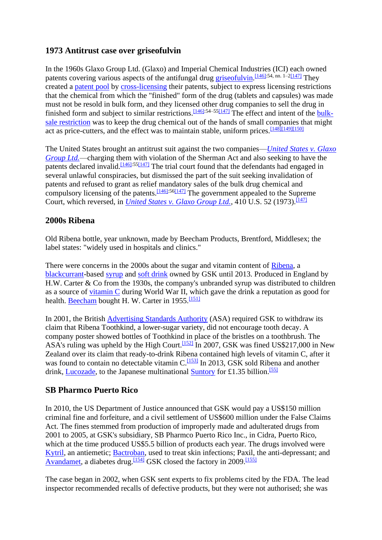## **1973 Antitrust case over griseofulvin**

In the 1960s Glaxo Group Ltd. (Glaxo) and Imperial Chemical Industries (ICI) each owned patents covering various aspects of the antifungal drug [griseofulvin.](https://en.wikipedia.org/wiki/Griseofulvin)<sup>[\[146\]:5](https://en.wikipedia.org/wiki/GlaxoSmithKline#cite_note-GSKICI-148)4, nn. 1–[2\[147\]](https://en.wikipedia.org/wiki/GlaxoSmithKline#cite_note-LaHatte-149)</sup> They created a [patent pool](https://en.wikipedia.org/wiki/Patent_pool) by [cross-licensing](https://en.wikipedia.org/wiki/Cross-licensing) their patents, subject to express licensing restrictions that the chemical from which the "finished" form of the drug (tablets and capsules) was made must not be resold in bulk form, and they licensed other drug companies to sell the drug in finished form and subject to similar restrictions.  $\frac{[146]:54-55[147]}{]}$  $\frac{[146]:54-55[147]}{]}$  $\frac{[146]:54-55[147]}{]}$  $\frac{[146]:54-55[147]}{]}$  $\frac{[146]:54-55[147]}{]}$  The effect and intent of the [bulk](https://en.wikipedia.org/wiki/Bulk-sale_restriction)[sale restriction](https://en.wikipedia.org/wiki/Bulk-sale_restriction) was to keep the drug chemical out of the hands of small companies that might act as price-cutters, and the effect was to maintain stable, uniform prices.<sup>[\[148\]](https://en.wikipedia.org/wiki/GlaxoSmithKline#cite_note-Leslie-150)[\[149\]](https://en.wikipedia.org/wiki/GlaxoSmithKline#cite_note-151)[\[150\]](https://en.wikipedia.org/wiki/GlaxoSmithKline#cite_note-Jacobson-152)</sup>

The United States brought an antitrust suit against the two companies—*[United States v. Glaxo](https://en.wikipedia.org/wiki/United_States_v._Glaxo_Group_Ltd.)  [Group Ltd.](https://en.wikipedia.org/wiki/United_States_v._Glaxo_Group_Ltd.)*—charging them with violation of the Sherman Act and also seeking to have the patents declared invalid.  $\frac{[146]:55[147]}{]}$  $\frac{[146]:55[147]}{]}$  $\frac{[146]:55[147]}{]}$  $\frac{[146]:55[147]}{]}$  $\frac{[146]:55[147]}{]}$  The trial court found that the defendants had engaged in several unlawful conspiracies, but dismissed the part of the suit seeking invalidation of patents and refused to grant as relief mandatory sales of the bulk drug chemical and compulsory licensing of the patents.  $\frac{[146]:56[147]}{]}$  $\frac{[146]:56[147]}{]}$  $\frac{[146]:56[147]}{]}$  $\frac{[146]:56[147]}{]}$  $\frac{[146]:56[147]}{]}$  The government appealed to the Supreme Court, which reversed, in *[United States v. Glaxo Group Ltd.](https://en.wikipedia.org/wiki/United_States_v._Glaxo_Group_Ltd.)*, 410 U.S. 52 (1973).<sup>[\[147\]](https://en.wikipedia.org/wiki/GlaxoSmithKline#cite_note-LaHatte-149)</sup>

## **2000s Ribena**

Old Ribena bottle, year unknown, made by Beecham Products, Brentford, Middlesex; the label states: "widely used in hospitals and clinics."

There were concerns in the 2000s about the sugar and vitamin content of [Ribena,](https://en.wikipedia.org/wiki/Ribena) a [blackcurrant-](https://en.wikipedia.org/wiki/Blackcurrant)based [syrup](https://en.wikipedia.org/wiki/Syrup) and [soft drink](https://en.wikipedia.org/wiki/Soft_drink) owned by GSK until 2013. Produced in England by H.W. Carter & Co from the 1930s, the company's unbranded syrup was distributed to children as a source of vitamin  $C$  during World War II, which gave the drink a reputation as good for health. [Beecham](https://en.wikipedia.org/wiki/Beecham_Group) bought H. W. Carter in  $1955 \frac{[151]}{[151]}$  $1955 \frac{[151]}{[151]}$  $1955 \frac{[151]}{[151]}$ 

In 2001, the British [Advertising Standards Authority](https://en.wikipedia.org/wiki/Advertising_Standards_Authority_(United_Kingdom)) (ASA) required GSK to withdraw its claim that Ribena Toothkind, a lower-sugar variety, did not encourage tooth decay. A company poster showed bottles of Toothkind in place of the bristles on a toothbrush. The ASA's ruling was upheld by the High Court.<sup>[\[152\]](https://en.wikipedia.org/wiki/GlaxoSmithKline#cite_note-154)</sup> In 2007, GSK was fined US\$217,000 in New Zealand over its claim that ready-to-drink Ribena contained high levels of vitamin C, after it was found to contain no detectable vitamin  $C$ .<sup>[\[153\]](https://en.wikipedia.org/wiki/GlaxoSmithKline#cite_note-155)</sup> In 2013, GSK sold Ribena and another drink, [Lucozade,](https://en.wikipedia.org/wiki/Lucozade) to the Japanese multinational [Suntory](https://en.wikipedia.org/wiki/Suntory) for £1.35 billion.<sup>[\[55\]](https://en.wikipedia.org/wiki/GlaxoSmithKline#cite_note-Monaghan-56)</sup>

# **SB Pharmco Puerto Rico**

In 2010, the US Department of Justice announced that GSK would pay a US\$150 million criminal fine and forfeiture, and a civil settlement of US\$600 million under the False Claims Act. The fines stemmed from production of improperly made and adulterated drugs from 2001 to 2005, at GSK's subsidiary, SB Pharmco Puerto Rico Inc., in Cidra, Puerto Rico, which at the time produced US\$5.5 billion of products each year. The drugs involved were [Kytril,](https://en.wikipedia.org/wiki/Kytril) an antiemetic; [Bactroban,](https://en.wikipedia.org/wiki/Bactroban) used to treat skin infections; Paxil, the anti-depressant; and [Avandamet,](https://en.wikipedia.org/wiki/Avandamet) a diabetes drug.<sup>[\[154\]](https://en.wikipedia.org/wiki/GlaxoSmithKline#cite_note-156)</sup> GSK closed the factory in 2009.<sup>[\[155\]](https://en.wikipedia.org/wiki/GlaxoSmithKline#cite_note-NYTPuerto-157)</sup>

The case began in 2002, when GSK sent experts to fix problems cited by the FDA. The lead inspector recommended recalls of defective products, but they were not authorised; she was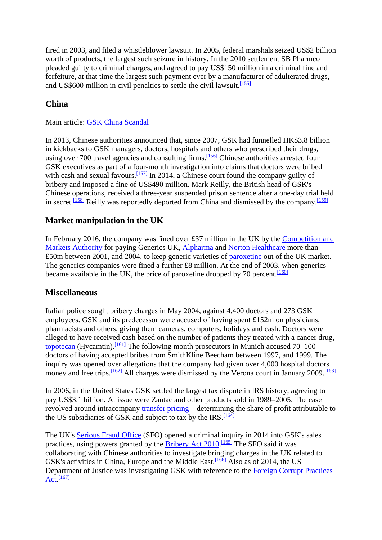fired in 2003, and filed a whistleblower lawsuit. In 2005, federal marshals seized US\$2 billion worth of products, the largest such seizure in history. In the 2010 settlement SB Pharmco pleaded guilty to criminal charges, and agreed to pay US\$150 million in a criminal fine and forfeiture, at that time the largest such payment ever by a manufacturer of adulterated drugs, and US\$600 million in civil penalties to settle the civil lawsuit.<sup>[\[155\]](https://en.wikipedia.org/wiki/GlaxoSmithKline#cite_note-NYTPuerto-157)</sup>

# **China**

Main article: [GSK China Scandal](https://en.wikipedia.org/wiki/GSK_China_Scandal)

In 2013, Chinese authorities announced that, since 2007, GSK had funnelled HK\$3.8 billion in kickbacks to GSK managers, doctors, hospitals and others who prescribed their drugs, using over 700 travel agencies and consulting firms.<sup>[\[156\]](https://en.wikipedia.org/wiki/GlaxoSmithKline#cite_note-158)</sup> Chinese authorities arrested four GSK executives as part of a four-month investigation into claims that doctors were bribed with cash and sexual favours.<sup>[\[157\]](https://en.wikipedia.org/wiki/GlaxoSmithKline#cite_note-159)</sup> In 2014, a Chinese court found the company guilty of bribery and imposed a fine of US\$490 million. Mark Reilly, the British head of GSK's Chinese operations, received a three-year suspended prison sentence after a one-day trial held in secret.<sup>[\[158\]](https://en.wikipedia.org/wiki/GlaxoSmithKline#cite_note-160)</sup> Reilly was reportedly deported from China and dismissed by the company.<sup>[\[159\]](https://en.wikipedia.org/wiki/GlaxoSmithKline#cite_note-161)</sup>

# **Market manipulation in the UK**

In February 2016, the company was fined over £37 million in the UK by the [Competition and](https://en.wikipedia.org/wiki/Competition_and_Markets_Authority)  [Markets Authority](https://en.wikipedia.org/wiki/Competition_and_Markets_Authority) for paying Generics UK, [Alpharma](https://en.wikipedia.org/wiki/Alpharma) and [Norton Healthcare](https://en.wikipedia.org/wiki/Norton_Healthcare) more than £50m between 2001, and 2004, to keep generic varieties of [paroxetine](https://en.wikipedia.org/wiki/Paroxetine) out of the UK market. The generics companies were fined a further £8 million. At the end of 2003, when generics became available in the UK, the price of paroxetine dropped by 70 percent. $\frac{[160]}{[160]}$  $\frac{[160]}{[160]}$  $\frac{[160]}{[160]}$ 

# **Miscellaneous**

Italian police sought bribery charges in May 2004, against 4,400 doctors and 273 GSK employees. GSK and its predecessor were accused of having spent £152m on physicians, pharmacists and others, giving them cameras, computers, holidays and cash. Doctors were alleged to have received cash based on the number of patients they treated with a cancer drug, [topotecan](https://en.wikipedia.org/wiki/Topotecan) (Hycamtin).<sup>[\[161\]](https://en.wikipedia.org/wiki/GlaxoSmithKline#cite_note-163)</sup> The following month prosecutors in Munich accused 70–100 doctors of having accepted bribes from SmithKline Beecham between 1997, and 1999. The inquiry was opened over allegations that the company had given over 4,000 hospital doctors money and free trips.<sup>[\[162\]](https://en.wikipedia.org/wiki/GlaxoSmithKline#cite_note-164)</sup> All charges were dismissed by the Verona court in January 2009.<sup>[\[163\]](https://en.wikipedia.org/wiki/GlaxoSmithKline#cite_note-165)</sup>

In 2006, in the United States GSK settled the largest tax dispute in IRS history, agreeing to pay US\$3.1 billion. At issue were Zantac and other products sold in 1989–2005. The case revolved around intracompany [transfer pricing—](https://en.wikipedia.org/wiki/Transfer_pricing)determining the share of profit attributable to the US subsidiaries of GSK and subject to tax by the  $IRS$ .  $[164]$ 

The UK's [Serious Fraud Office](https://en.wikipedia.org/wiki/Serious_Fraud_Office_(United_Kingdom)) (SFO) opened a criminal inquiry in 2014 into GSK's sales practices, using powers granted by the **Bribery Act 2010**.<sup>[\[165\]](https://en.wikipedia.org/wiki/GlaxoSmithKline#cite_note-167)</sup> The SFO said it was collaborating with Chinese authorities to investigate bringing charges in the UK related to GSK's activities in China, Europe and the Middle East.<sup>[\[166\]](https://en.wikipedia.org/wiki/GlaxoSmithKline#cite_note-168)</sup> Also as of 2014, the US Department of Justice was investigating GSK with reference to the [Foreign Corrupt Practices](https://en.wikipedia.org/wiki/Foreign_Corrupt_Practices_Act)  [Act.](https://en.wikipedia.org/wiki/Foreign_Corrupt_Practices_Act)<sup>[\[167\]](https://en.wikipedia.org/wiki/GlaxoSmithKline#cite_note-169)</sup>